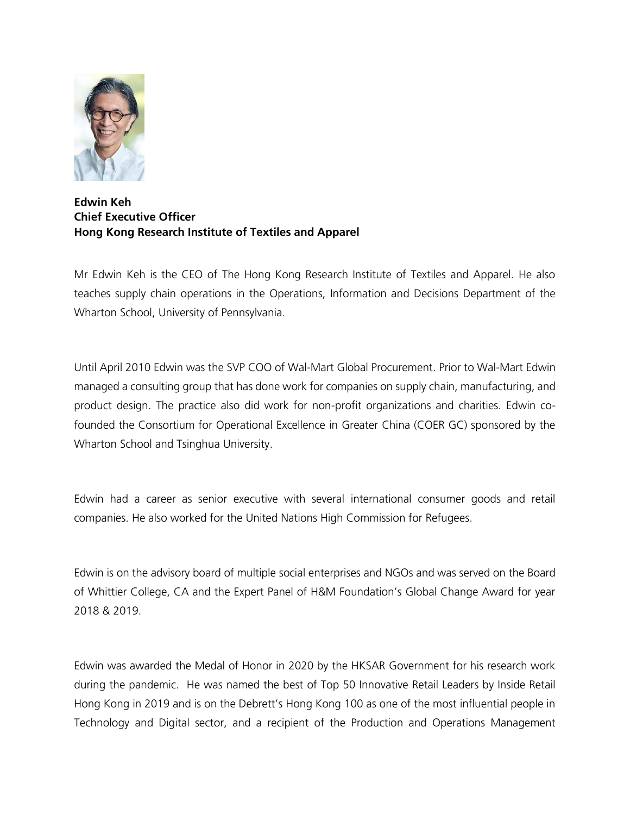

## **Edwin Keh Chief Executive Officer Hong Kong Research Institute of Textiles and Apparel**

Mr Edwin Keh is the CEO of The Hong Kong Research Institute of Textiles and Apparel. He also teaches supply chain operations in the Operations, Information and Decisions Department of the Wharton School, University of Pennsylvania.

Until April 2010 Edwin was the SVP COO of Wal-Mart Global Procurement. Prior to Wal-Mart Edwin managed a consulting group that has done work for companies on supply chain, manufacturing, and product design. The practice also did work for non-profit organizations and charities. Edwin cofounded the Consortium for Operational Excellence in Greater China (COER GC) sponsored by the Wharton School and Tsinghua University.

Edwin had a career as senior executive with several international consumer goods and retail companies. He also worked for the United Nations High Commission for Refugees.

Edwin is on the advisory board of multiple social enterprises and NGOs and was served on the Board of Whittier College, CA and the Expert Panel of H&M Foundation's Global Change Award for year 2018 & 2019.

Edwin was awarded the Medal of Honor in 2020 by the HKSAR Government for his research work during the pandemic. He was named the best of Top 50 Innovative Retail Leaders by Inside Retail Hong Kong in 2019 and is on the Debrett's Hong Kong 100 as one of the most influential people in Technology and Digital sector, and a recipient of the Production and Operations Management